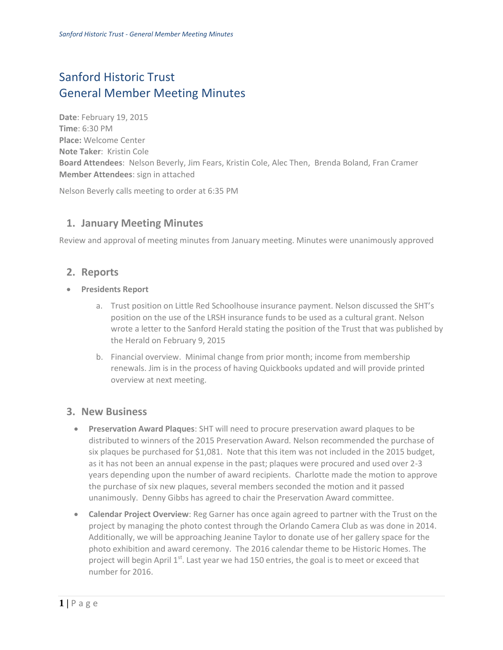# Sanford Historic Trust General Member Meeting Minutes

**Date**: February 19, 2015 **Time**: 6:30 PM **Place:** Welcome Center **Note Taker**: Kristin Cole **Board Attendees**: Nelson Beverly, Jim Fears, Kristin Cole, Alec Then, Brenda Boland, Fran Cramer **Member Attendees**: sign in attached

Nelson Beverly calls meeting to order at 6:35 PM

# **1. January Meeting Minutes**

Review and approval of meeting minutes from January meeting. Minutes were unanimously approved

## **2. Reports**

- **Presidents Report**
	- a. Trust position on Little Red Schoolhouse insurance payment. Nelson discussed the SHT's position on the use of the LRSH insurance funds to be used as a cultural grant. Nelson wrote a letter to the Sanford Herald stating the position of the Trust that was published by the Herald on February 9, 2015
	- b. Financial overview. Minimal change from prior month; income from membership renewals. Jim is in the process of having Quickbooks updated and will provide printed overview at next meeting.

### **3. New Business**

- **Preservation Award Plaques**: SHT will need to procure preservation award plaques to be distributed to winners of the 2015 Preservation Award. Nelson recommended the purchase of six plaques be purchased for \$1,081. Note that this item was not included in the 2015 budget, as it has not been an annual expense in the past; plaques were procured and used over 2-3 years depending upon the number of award recipients. Charlotte made the motion to approve the purchase of six new plaques, several members seconded the motion and it passed unanimously. Denny Gibbs has agreed to chair the Preservation Award committee.
- **Calendar Project Overview**: Reg Garner has once again agreed to partner with the Trust on the project by managing the photo contest through the Orlando Camera Club as was done in 2014. Additionally, we will be approaching Jeanine Taylor to donate use of her gallery space for the photo exhibition and award ceremony. The 2016 calendar theme to be Historic Homes. The project will begin April  $1<sup>st</sup>$ . Last year we had 150 entries, the goal is to meet or exceed that number for 2016.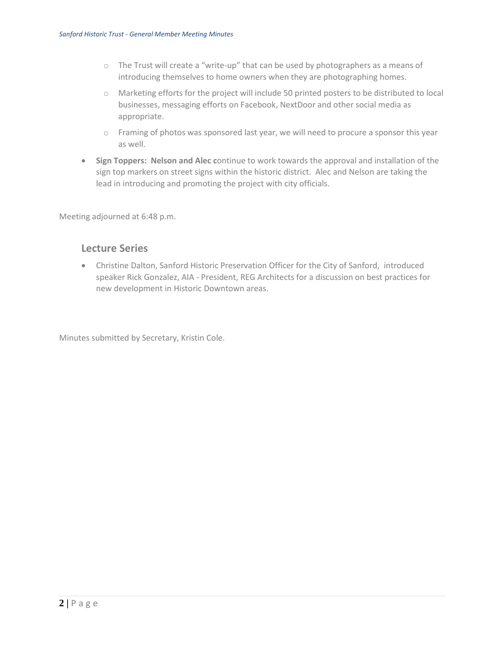- o The Trust will create a "write-up" that can be used by photographers as a means of introducing themselves to home owners when they are photographing homes.
- o Marketing efforts for the project will include 50 printed posters to be distributed to local businesses, messaging efforts on Facebook, NextDoor and other social media as appropriate.
- o Framing of photos was sponsored last year, we will need to procure a sponsor this year as well.
- **Sign Toppers: Nelson and Alec c**ontinue to work towards the approval and installation of the sign top markers on street signs within the historic district. Alec and Nelson are taking the lead in introducing and promoting the project with city officials.

Meeting adjourned at 6:48 p.m.

#### **Lecture Series**

 Christine Dalton, Sanford Historic Preservation Officer for the City of Sanford, introduced speaker Rick Gonzalez, AIA - President, REG Architects for a discussion on best practices for new development in Historic Downtown areas.

Minutes submitted by Secretary, Kristin Cole.